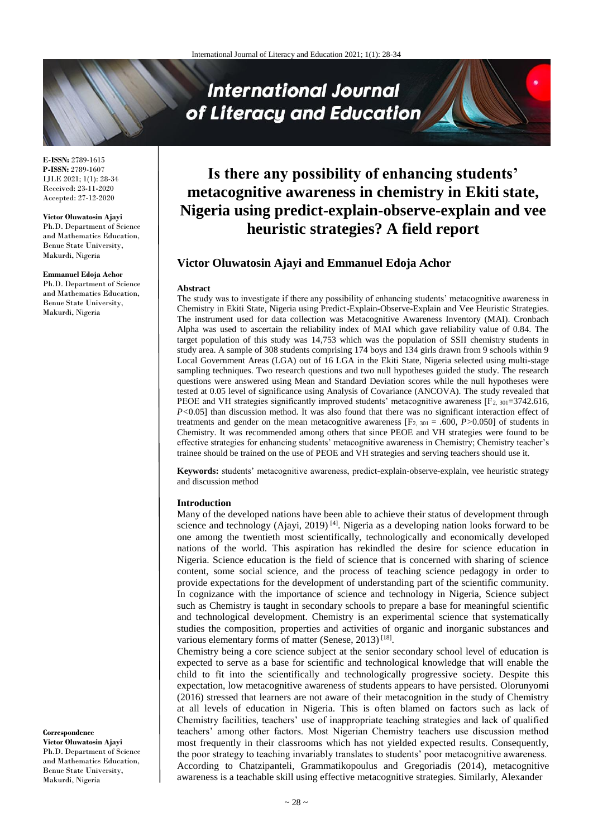# **International Journal** of Literacy and Education

**E-ISSN:** 2789-1615 **P-ISSN:** 2789-1607 IJLE 2021; 1(1): 28-34 Received: 23-11-2020 Accepted: 27-12-2020

**Victor Oluwatosin Ajayi** Ph.D. Department of Science and Mathematics Education, Benue State University, Makurdi, Nigeria

**Emmanuel Edoja Achor** Ph.D. Department of Science and Mathematics Education, Benue State University, Makurdi, Nigeria

**Correspondence Victor Oluwatosin Ajayi** Ph.D. Department of Science and Mathematics Education, Benue State University, Makurdi, Nigeria

## **Is there any possibility of enhancing students' metacognitive awareness in chemistry in Ekiti state, Nigeria using predict-explain-observe-explain and vee heuristic strategies? A field report**

## **Victor Oluwatosin Ajayi and Emmanuel Edoja Achor**

#### **Abstract**

The study was to investigate if there any possibility of enhancing students' metacognitive awareness in Chemistry in Ekiti State, Nigeria using Predict-Explain-Observe-Explain and Vee Heuristic Strategies. The instrument used for data collection was Metacognitive Awareness Inventory (MAI). Cronbach Alpha was used to ascertain the reliability index of MAI which gave reliability value of 0.84. The target population of this study was 14,753 which was the population of SSII chemistry students in study area. A sample of 308 students comprising 174 boys and 134 girls drawn from 9 schools within 9 Local Government Areas (LGA) out of 16 LGA in the Ekiti State, Nigeria selected using multi-stage sampling techniques. Two research questions and two null hypotheses guided the study. The research questions were answered using Mean and Standard Deviation scores while the null hypotheses were tested at 0.05 level of significance using Analysis of Covariance (ANCOVA). The study revealed that PEOE and VH strategies significantly improved students' metacognitive awareness [F<sub>2, 301</sub>=3742.616, *P*<0.05] than discussion method. It was also found that there was no significant interaction effect of treatments and gender on the mean metacognitive awareness  $[F_{2, 301} = .600, P > 0.050]$  of students in Chemistry. It was recommended among others that since PEOE and VH strategies were found to be effective strategies for enhancing students' metacognitive awareness in Chemistry; Chemistry teacher's trainee should be trained on the use of PEOE and VH strategies and serving teachers should use it.

**Keywords:** students' metacognitive awareness, predict-explain-observe-explain, vee heuristic strategy and discussion method

#### **Introduction**

Many of the developed nations have been able to achieve their status of development through science and technology (Ajayi, 2019)<sup>[4]</sup>. Nigeria as a developing nation looks forward to be one among the twentieth most scientifically, technologically and economically developed nations of the world. This aspiration has rekindled the desire for science education in Nigeria. Science education is the field of science that is concerned with sharing of science content, some social science, and the process of teaching science pedagogy in order to provide expectations for the development of understanding part of the scientific community. In cognizance with the importance of science and technology in Nigeria, Science subject such as Chemistry is taught in secondary schools to prepare a base for meaningful scientific and technological development. Chemistry is an experimental science that systematically studies the composition, properties and activities of organic and inorganic substances and various elementary forms of matter (Senese, 2013)<sup>[18]</sup>.

Chemistry being a core science subject at the senior secondary school level of education is expected to serve as a base for scientific and technological knowledge that will enable the child to fit into the scientifically and technologically progressive society. Despite this expectation, low metacognitive awareness of students appears to have persisted. Olorunyomi (2016) stressed that learners are not aware of their metacognition in the study of Chemistry at all levels of education in Nigeria. This is often blamed on factors such as lack of Chemistry facilities, teachers' use of inappropriate teaching strategies and lack of qualified teachers' among other factors. Most Nigerian Chemistry teachers use discussion method most frequently in their classrooms which has not yielded expected results. Consequently, the poor strategy to teaching invariably translates to students' poor metacognitive awareness. According to Chatzipanteli, Grammatikopoulus and Gregoriadis (2014), metacognitive awareness is a teachable skill using effective metacognitive strategies. Similarly, Alexander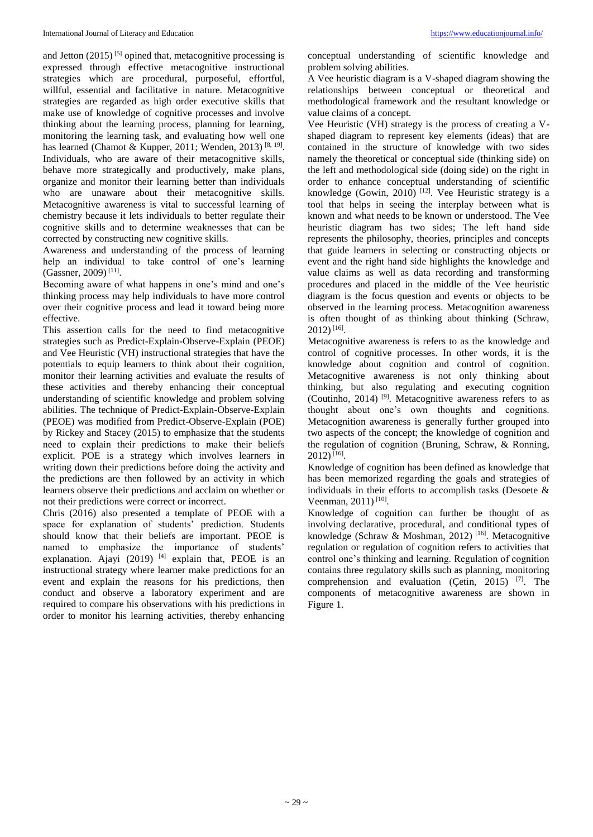and Jetton  $(2015)^{5}$  opined that, metacognitive processing is expressed through effective metacognitive instructional strategies which are procedural, purposeful, effortful, willful, essential and facilitative in nature. Metacognitive strategies are regarded as high order executive skills that make use of knowledge of cognitive processes and involve thinking about the learning process, planning for learning, monitoring the learning task, and evaluating how well one has learned (Chamot & Kupper, 2011; Wenden, 2013)<sup>[8, 19]</sup>. Individuals, who are aware of their metacognitive skills, behave more strategically and productively, make plans, organize and monitor their learning better than individuals who are unaware about their metacognitive skills. Metacognitive awareness is vital to successful learning of chemistry because it lets individuals to better regulate their cognitive skills and to determine weaknesses that can be corrected by constructing new cognitive skills.

Awareness and understanding of the process of learning help an individual to take control of one's learning (Gassner, 2009) [11] .

Becoming aware of what happens in one's mind and one's thinking process may help individuals to have more control over their cognitive process and lead it toward being more effective.

This assertion calls for the need to find metacognitive strategies such as Predict-Explain-Observe-Explain (PEOE) and Vee Heuristic (VH) instructional strategies that have the potentials to equip learners to think about their cognition, monitor their learning activities and evaluate the results of these activities and thereby enhancing their conceptual understanding of scientific knowledge and problem solving abilities. The technique of Predict-Explain-Observe-Explain (PEOE) was modified from Predict-Observe-Explain (POE) by Rickey and Stacey (2015) to emphasize that the students need to explain their predictions to make their beliefs explicit. POE is a strategy which involves learners in writing down their predictions before doing the activity and the predictions are then followed by an activity in which learners observe their predictions and acclaim on whether or not their predictions were correct or incorrect.

Chris (2016) also presented a template of PEOE with a space for explanation of students' prediction. Students should know that their beliefs are important. PEOE is named to emphasize the importance of students' explanation. Ajayi (2019)  $[4]$  explain that, PEOE is an instructional strategy where learner make predictions for an event and explain the reasons for his predictions, then conduct and observe a laboratory experiment and are required to compare his observations with his predictions in order to monitor his learning activities, thereby enhancing conceptual understanding of scientific knowledge and problem solving abilities.

A Vee heuristic diagram is a V-shaped diagram showing the relationships between conceptual or theoretical and methodological framework and the resultant knowledge or value claims of a concept.

Vee Heuristic (VH) strategy is the process of creating a Vshaped diagram to represent key elements (ideas) that are contained in the structure of knowledge with two sides namely the theoretical or conceptual side (thinking side) on the left and methodological side (doing side) on the right in order to enhance conceptual understanding of scientific knowledge (Gowin, 2010)<sup>[12]</sup>. Vee Heuristic strategy is a tool that helps in seeing the interplay between what is known and what needs to be known or understood. The Vee heuristic diagram has two sides; The left hand side represents the philosophy, theories, principles and concepts that guide learners in selecting or constructing objects or event and the right hand side highlights the knowledge and value claims as well as data recording and transforming procedures and placed in the middle of the Vee heuristic diagram is the focus question and events or objects to be observed in the learning process. Metacognition awareness is often thought of as thinking about thinking (Schraw, 2012) [16] .

Metacognitive awareness is refers to as the knowledge and control of cognitive processes. In other words, it is the knowledge about cognition and control of cognition. Metacognitive awareness is not only thinking about thinking, but also regulating and executing cognition (Coutinho, 2014) [9] . Metacognitive awareness refers to as thought about one's own thoughts and cognitions. Metacognition awareness is generally further grouped into two aspects of the concept; the knowledge of cognition and the regulation of cognition (Bruning, Schraw, & Ronning, 2012) [16] .

Knowledge of cognition has been defined as knowledge that has been memorized regarding the goals and strategies of individuals in their efforts to accomplish tasks (Desoete & Veenman, 2011)<sup>[10]</sup>.

Knowledge of cognition can further be thought of as involving declarative, procedural, and conditional types of knowledge (Schraw & Moshman, 2012)<sup>[16]</sup>. Metacognitive regulation or regulation of cognition refers to activities that control one's thinking and learning. Regulation of cognition contains three regulatory skills such as planning, monitoring comprehension and evaluation (Çetin, 2015)  $[7]$ . The components of metacognitive awareness are shown in Figure 1.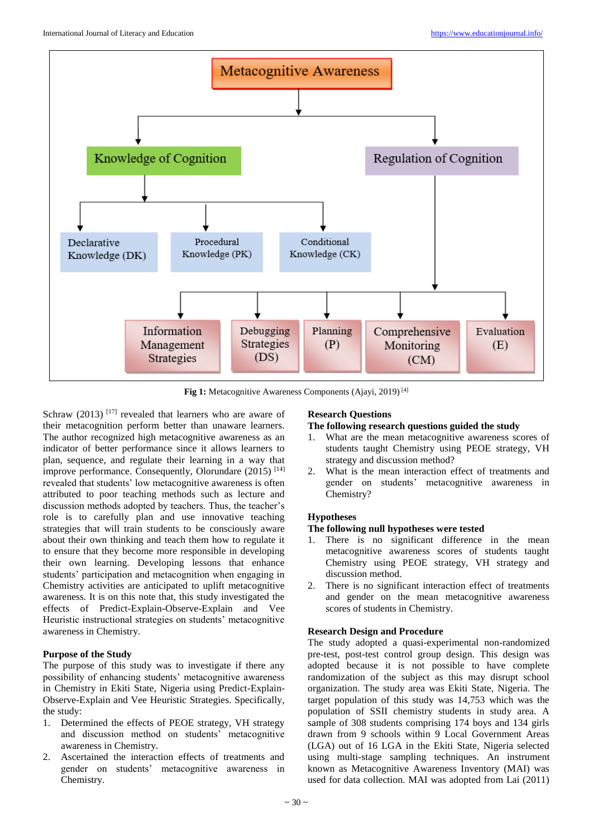

**Fig 1:** Metacognitive Awareness Components (Ajayi, 2019) [4]

Schraw  $(2013)$ <sup>[17]</sup> revealed that learners who are aware of their metacognition perform better than unaware learners. The author recognized high metacognitive awareness as an indicator of better performance since it allows learners to plan, sequence, and regulate their learning in a way that improve performance. Consequently, Olorundare  $(2015)^{[14]}$ revealed that students' low metacognitive awareness is often attributed to poor teaching methods such as lecture and discussion methods adopted by teachers. Thus, the teacher's role is to carefully plan and use innovative teaching strategies that will train students to be consciously aware about their own thinking and teach them how to regulate it to ensure that they become more responsible in developing their own learning. Developing lessons that enhance students' participation and metacognition when engaging in Chemistry activities are anticipated to uplift metacognitive awareness. It is on this note that, this study investigated the effects of Predict-Explain-Observe-Explain and Vee Heuristic instructional strategies on students' metacognitive awareness in Chemistry.

### **Purpose of the Study**

The purpose of this study was to investigate if there any possibility of enhancing students' metacognitive awareness in Chemistry in Ekiti State, Nigeria using Predict-Explain-Observe-Explain and Vee Heuristic Strategies. Specifically, the study:

- 1. Determined the effects of PEOE strategy, VH strategy and discussion method on students' metacognitive awareness in Chemistry.
- 2. Ascertained the interaction effects of treatments and gender on students' metacognitive awareness in Chemistry.

### **Research Questions**

#### **The following research questions guided the study**

- 1. What are the mean metacognitive awareness scores of students taught Chemistry using PEOE strategy, VH strategy and discussion method?
- 2. What is the mean interaction effect of treatments and gender on students' metacognitive awareness in Chemistry?

### **Hypotheses**

### **The following null hypotheses were tested**

- 1. There is no significant difference in the mean metacognitive awareness scores of students taught Chemistry using PEOE strategy, VH strategy and discussion method.
- 2. There is no significant interaction effect of treatments and gender on the mean metacognitive awareness scores of students in Chemistry.

### **Research Design and Procedure**

The study adopted a quasi-experimental non-randomized pre-test, post-test control group design. This design was adopted because it is not possible to have complete randomization of the subject as this may disrupt school organization. The study area was Ekiti State, Nigeria. The target population of this study was 14,753 which was the population of SSII chemistry students in study area. A sample of 308 students comprising 174 boys and 134 girls drawn from 9 schools within 9 Local Government Areas (LGA) out of 16 LGA in the Ekiti State, Nigeria selected using multi-stage sampling techniques. An instrument known as Metacognitive Awareness Inventory (MAI) was used for data collection. MAI was adopted from Lai (2011)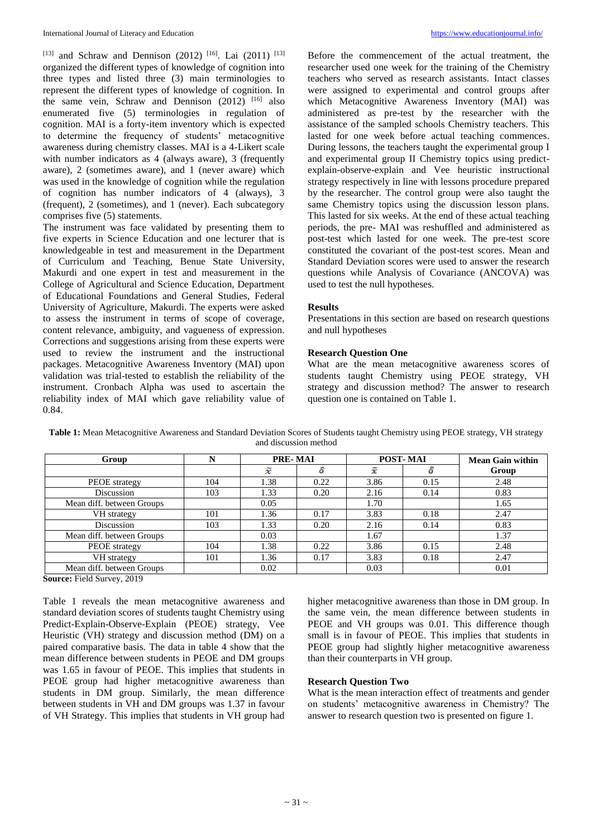[13] and Schraw and Dennison (2012)<sup>[16]</sup>. Lai (2011)<sup>[13]</sup> organized the different types of knowledge of cognition into three types and listed three (3) main terminologies to represent the different types of knowledge of cognition. In the same vein, Schraw and Dennison (2012) <sup>[16]</sup> also enumerated five (5) terminologies in regulation of cognition. MAI is a forty-item inventory which is expected to determine the frequency of students' metacognitive awareness during chemistry classes. MAI is a 4-Likert scale with number indicators as 4 (always aware), 3 (frequently aware), 2 (sometimes aware), and 1 (never aware) which was used in the knowledge of cognition while the regulation of cognition has number indicators of 4 (always), 3 (frequent), 2 (sometimes), and 1 (never). Each subcategory comprises five (5) statements.

The instrument was face validated by presenting them to five experts in Science Education and one lecturer that is knowledgeable in test and measurement in the Department of Curriculum and Teaching, Benue State University, Makurdi and one expert in test and measurement in the College of Agricultural and Science Education, Department of Educational Foundations and General Studies, Federal University of Agriculture, Makurdi. The experts were asked to assess the instrument in terms of scope of coverage, content relevance, ambiguity, and vagueness of expression. Corrections and suggestions arising from these experts were used to review the instrument and the instructional packages. Metacognitive Awareness Inventory (MAI) upon validation was trial-tested to establish the reliability of the instrument. Cronbach Alpha was used to ascertain the reliability index of MAI which gave reliability value of 0.84.

Before the commencement of the actual treatment, the researcher used one week for the training of the Chemistry teachers who served as research assistants. Intact classes were assigned to experimental and control groups after which Metacognitive Awareness Inventory (MAI) was administered as pre-test by the researcher with the assistance of the sampled schools Chemistry teachers. This lasted for one week before actual teaching commences. During lessons, the teachers taught the experimental group I and experimental group II Chemistry topics using predictexplain-observe-explain and Vee heuristic instructional strategy respectively in line with lessons procedure prepared by the researcher. The control group were also taught the same Chemistry topics using the discussion lesson plans. This lasted for six weeks. At the end of these actual teaching periods, the pre- MAI was reshuffled and administered as post-test which lasted for one week. The pre-test score constituted the covariant of the post-test scores. Mean and Standard Deviation scores were used to answer the research questions while Analysis of Covariance (ANCOVA) was used to test the null hypotheses.

#### **Results**

Presentations in this section are based on research questions and null hypotheses

### **Research Question One**

What are the mean metacognitive awareness scores of students taught Chemistry using PEOE strategy, VH strategy and discussion method? The answer to research question one is contained on Table 1.

| Group                     |     | PRE-MAI |      | <b>POST-MAI</b> |      | <b>Mean Gain within</b> |
|---------------------------|-----|---------|------|-----------------|------|-------------------------|
|                           |     | x       |      |                 |      | Group                   |
| PEOE strategy             | 104 | 1.38    | 0.22 | 3.86            | 0.15 | 2.48                    |
| Discussion                | 103 | 1.33    | 0.20 | 2.16            | 0.14 | 0.83                    |
| Mean diff. between Groups |     | 0.05    |      | 1.70            |      | 1.65                    |
| VH strategy               | 101 | 1.36    | 0.17 | 3.83            | 0.18 | 2.47                    |
| Discussion                | 103 | 1.33    | 0.20 | 2.16            | 0.14 | 0.83                    |
| Mean diff. between Groups |     | 0.03    |      | 1.67            |      | 1.37                    |
| PEOE strategy             | 104 | 1.38    | 0.22 | 3.86            | 0.15 | 2.48                    |
| VH strategy               | 101 | 1.36    | 0.17 | 3.83            | 0.18 | 2.47                    |
| Mean diff. between Groups |     | 0.02    |      | 0.03            |      | 0.01                    |

**Table 1:** Mean Metacognitive Awareness and Standard Deviation Scores of Students taught Chemistry using PEOE strategy, VH strategy and discussion method

**Source:** Field Survey, 2019

Table 1 reveals the mean metacognitive awareness and standard deviation scores of students taught Chemistry using Predict-Explain-Observe-Explain (PEOE) strategy, Vee Heuristic (VH) strategy and discussion method (DM) on a paired comparative basis. The data in table 4 show that the mean difference between students in PEOE and DM groups was 1.65 in favour of PEOE. This implies that students in PEOE group had higher metacognitive awareness than students in DM group. Similarly, the mean difference between students in VH and DM groups was 1.37 in favour of VH Strategy. This implies that students in VH group had

higher metacognitive awareness than those in DM group. In the same vein, the mean difference between students in PEOE and VH groups was 0.01. This difference though small is in favour of PEOE. This implies that students in PEOE group had slightly higher metacognitive awareness than their counterparts in VH group.

#### **Research Question Two**

What is the mean interaction effect of treatments and gender on students' metacognitive awareness in Chemistry? The answer to research question two is presented on figure 1.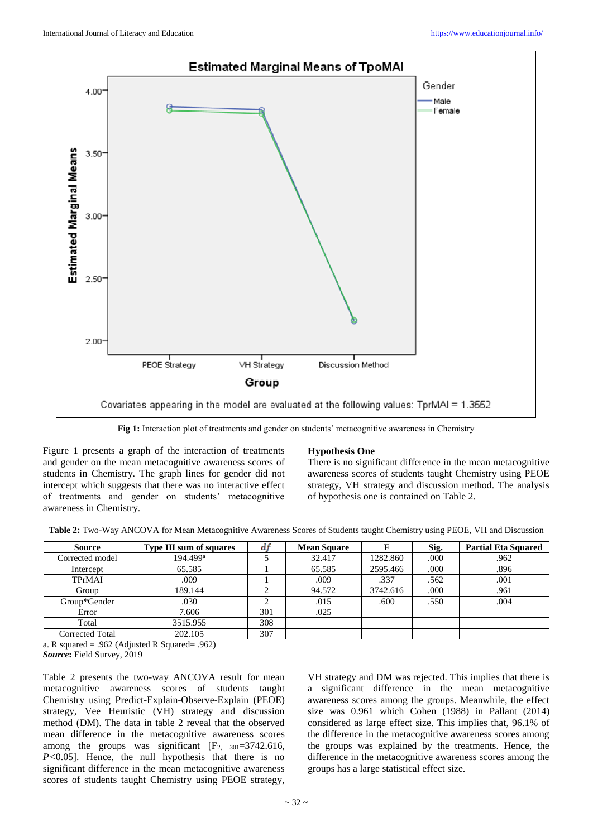

**Fig 1:** Interaction plot of treatments and gender on students' metacognitive awareness in Chemistry

Figure 1 presents a graph of the interaction of treatments and gender on the mean metacognitive awareness scores of students in Chemistry. The graph lines for gender did not intercept which suggests that there was no interactive effect of treatments and gender on students' metacognitive awareness in Chemistry.

#### **Hypothesis One**

There is no significant difference in the mean metacognitive awareness scores of students taught Chemistry using PEOE strategy, VH strategy and discussion method. The analysis of hypothesis one is contained on Table 2.

| <b>Source</b>   | <b>Type III sum of squares</b> | df  | <b>Mean Square</b> |          | Sig. | <b>Partial Eta Squared</b> |
|-----------------|--------------------------------|-----|--------------------|----------|------|----------------------------|
| Corrected model | 194.499 <sup>a</sup>           |     | 32.417             | 1282.860 | .000 | .962                       |
| Intercept       | 65.585                         |     | 65.585             | 2595.466 | .000 | .896                       |
| TPrMAI          | .009                           |     | .009               | .337     | .562 | .001                       |
| Group           | 189.144                        | ◠   | 94.572             | 3742.616 | .000 | .961                       |
| Group*Gender    | .030                           |     | .015               | .600     | .550 | .004                       |
| Error           | 7.606                          | 301 | .025               |          |      |                            |
| Total           | 3515.955                       | 308 |                    |          |      |                            |
| Corrected Total | 202.105                        | 307 |                    |          |      |                            |

a. R squared = .962 (Adjusted R Squared= .962) *Source***:** Field Survey, 2019

Table 2 presents the two-way ANCOVA result for mean metacognitive awareness scores of students taught Chemistry using Predict-Explain-Observe-Explain (PEOE) strategy, Vee Heuristic (VH) strategy and discussion method (DM). The data in table 2 reveal that the observed mean difference in the metacognitive awareness scores among the groups was significant  $[F_2, 301=3742.616,$ *P*<0.05]. Hence, the null hypothesis that there is no significant difference in the mean metacognitive awareness scores of students taught Chemistry using PEOE strategy,

VH strategy and DM was rejected. This implies that there is a significant difference in the mean metacognitive awareness scores among the groups. Meanwhile, the effect size was 0.961 which Cohen (1988) in Pallant (2014) considered as large effect size. This implies that, 96.1% of the difference in the metacognitive awareness scores among the groups was explained by the treatments. Hence, the difference in the metacognitive awareness scores among the groups has a large statistical effect size.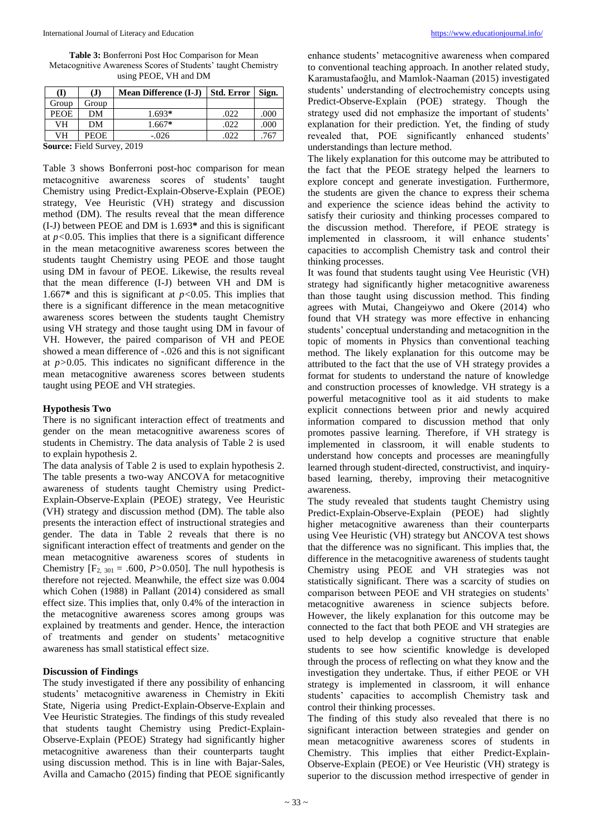**Table 3:** Bonferroni Post Hoc Comparison for Mean Metacognitive Awareness Scores of Students' taught Chemistry using PEOE, VH and DM

| (I)                                             | (J)         | <b>Mean Difference (I-J)</b> | <b>Std. Error</b> | Sign. |
|-------------------------------------------------|-------------|------------------------------|-------------------|-------|
| Group                                           | Group       |                              |                   |       |
| <b>PEOE</b>                                     | DМ          | $1.693*$                     | .022              | .000  |
| VH                                              | DM          | $1.667*$                     | .022              | .000  |
| VH                                              | <b>PEOE</b> | $-.026$                      |                   | .767  |
| $\alpha$ $\mathbf{r}$ $\mathbf{r}$ $\mathbf{r}$ |             | 0.010                        |                   |       |

**Source:** Field Survey, 2019

Table 3 shows Bonferroni post-hoc comparison for mean metacognitive awareness scores of students' taught Chemistry using Predict-Explain-Observe-Explain (PEOE) strategy, Vee Heuristic (VH) strategy and discussion method (DM). The results reveal that the mean difference (I-J) between PEOE and DM is 1.693**\*** and this is significant at *p<*0.05. This implies that there is a significant difference in the mean metacognitive awareness scores between the students taught Chemistry using PEOE and those taught using DM in favour of PEOE. Likewise, the results reveal that the mean difference (I-J) between VH and DM is 1.667**\*** and this is significant at *p<*0.05. This implies that there is a significant difference in the mean metacognitive awareness scores between the students taught Chemistry using VH strategy and those taught using DM in favour of VH. However, the paired comparison of VH and PEOE showed a mean difference of -.026 and this is not significant at *p>*0.05. This indicates no significant difference in the mean metacognitive awareness scores between students taught using PEOE and VH strategies.

#### **Hypothesis Two**

There is no significant interaction effect of treatments and gender on the mean metacognitive awareness scores of students in Chemistry. The data analysis of Table 2 is used to explain hypothesis 2.

The data analysis of Table 2 is used to explain hypothesis 2. The table presents a two-way ANCOVA for metacognitive awareness of students taught Chemistry using Predict-Explain-Observe-Explain (PEOE) strategy, Vee Heuristic (VH) strategy and discussion method (DM). The table also presents the interaction effect of instructional strategies and gender. The data in Table 2 reveals that there is no significant interaction effect of treatments and gender on the mean metacognitive awareness scores of students in Chemistry  $[F_2, y_{01} = .600, P > 0.050]$ . The null hypothesis is therefore not rejected. Meanwhile, the effect size was 0.004 which Cohen (1988) in Pallant (2014) considered as small effect size. This implies that, only 0.4% of the interaction in the metacognitive awareness scores among groups was explained by treatments and gender. Hence, the interaction of treatments and gender on students' metacognitive awareness has small statistical effect size.

#### **Discussion of Findings**

The study investigated if there any possibility of enhancing students' metacognitive awareness in Chemistry in Ekiti State, Nigeria using Predict-Explain-Observe-Explain and Vee Heuristic Strategies. The findings of this study revealed that students taught Chemistry using Predict-Explain-Observe-Explain (PEOE) Strategy had significantly higher metacognitive awareness than their counterparts taught using discussion method. This is in line with Bajar-Sales, Avilla and Camacho (2015) finding that PEOE significantly

enhance students' metacognitive awareness when compared to conventional teaching approach. In another related study, Karamustafaoğlu, and Mamlok-Naaman (2015) investigated students' understanding of electrochemistry concepts using Predict-Observe-Explain (POE) strategy. Though the strategy used did not emphasize the important of students' explanation for their prediction. Yet, the finding of study revealed that, POE significantly enhanced students' understandings than lecture method.

The likely explanation for this outcome may be attributed to the fact that the PEOE strategy helped the learners to explore concept and generate investigation. Furthermore, the students are given the chance to express their schema and experience the science ideas behind the activity to satisfy their curiosity and thinking processes compared to the discussion method. Therefore, if PEOE strategy is implemented in classroom, it will enhance students' capacities to accomplish Chemistry task and control their thinking processes.

It was found that students taught using Vee Heuristic (VH) strategy had significantly higher metacognitive awareness than those taught using discussion method. This finding agrees with Mutai, Changeiywo and Okere (2014) who found that VH strategy was more effective in enhancing students' conceptual understanding and metacognition in the topic of moments in Physics than conventional teaching method. The likely explanation for this outcome may be attributed to the fact that the use of VH strategy provides a format for students to understand the nature of knowledge and construction processes of knowledge. VH strategy is a powerful metacognitive tool as it aid students to make explicit connections between prior and newly acquired information compared to discussion method that only promotes passive learning. Therefore, if VH strategy is implemented in classroom, it will enable students to understand how concepts and processes are meaningfully learned through student-directed, constructivist, and inquirybased learning, thereby, improving their metacognitive awareness.

The study revealed that students taught Chemistry using Predict-Explain-Observe-Explain (PEOE) had slightly higher metacognitive awareness than their counterparts using Vee Heuristic (VH) strategy but ANCOVA test shows that the difference was no significant. This implies that, the difference in the metacognitive awareness of students taught Chemistry using PEOE and VH strategies was not statistically significant. There was a scarcity of studies on comparison between PEOE and VH strategies on students' metacognitive awareness in science subjects before. However, the likely explanation for this outcome may be connected to the fact that both PEOE and VH strategies are used to help develop a cognitive structure that enable students to see how scientific knowledge is developed through the process of reflecting on what they know and the investigation they undertake. Thus, if either PEOE or VH strategy is implemented in classroom, it will enhance students' capacities to accomplish Chemistry task and control their thinking processes.

The finding of this study also revealed that there is no significant interaction between strategies and gender on mean metacognitive awareness scores of students in Chemistry. This implies that either Predict-Explain-Observe-Explain (PEOE) or Vee Heuristic (VH) strategy is superior to the discussion method irrespective of gender in